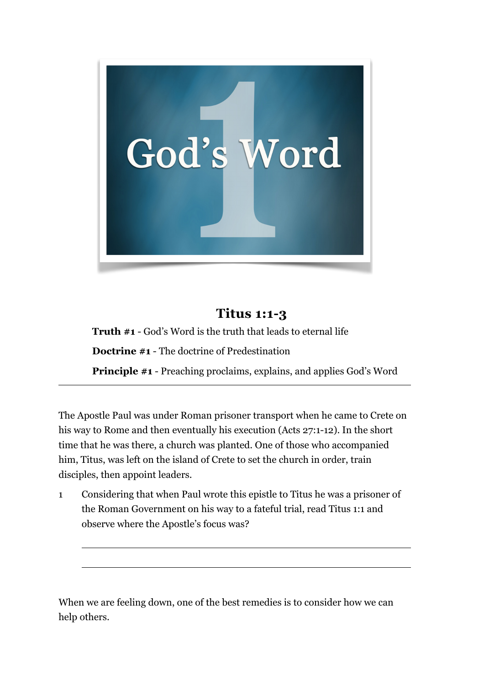

## **Titus 1:1-3**

**Truth #1** - God's Word is the truth that leads to eternal life **Doctrine #1** - The doctrine of Predestination **Principle #1** - Preaching proclaims, explains, and applies God's Word

The Apostle Paul was under Roman prisoner transport when he came to Crete on his way to Rome and then eventually his execution (Acts 27:1-12). In the short time that he was there, a church was planted. One of those who accompanied him, Titus, was left on the island of Crete to set the church in order, train disciples, then appoint leaders.

1 Considering that when Paul wrote this epistle to Titus he was a prisoner of the Roman Government on his way to a fateful trial, read Titus 1:1 and observe where the Apostle's focus was?

 $\overline{a}$ 

When we are feeling down, one of the best remedies is to consider how we can help others.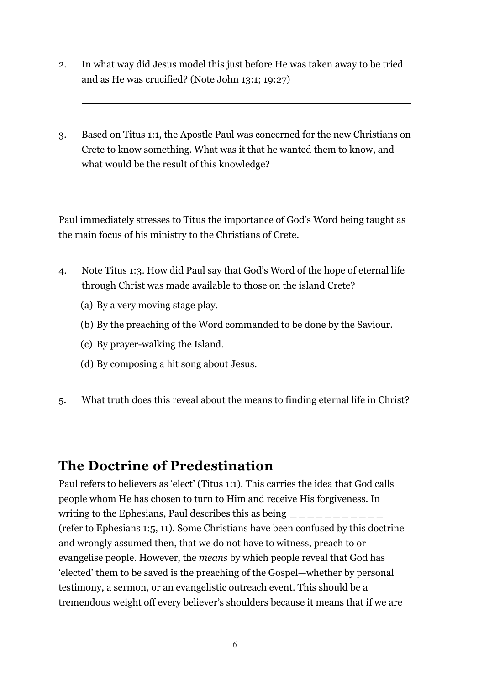- 2. In what way did Jesus model this just before He was taken away to be tried and as He was crucified? (Note John 13:1; 19:27)
- 3. Based on Titus 1:1, the Apostle Paul was concerned for the new Christians on Crete to know something. What was it that he wanted them to know, and what would be the result of this knowledge?

Paul immediately stresses to Titus the importance of God's Word being taught as the main focus of his ministry to the Christians of Crete.

- 4. Note Titus 1:3. How did Paul say that God's Word of the hope of eternal life through Christ was made available to those on the island Crete?
	- (a) By a very moving stage play.

 $\overline{a}$ 

 $\overline{a}$ 

 $\overline{a}$ 

- (b) By the preaching of the Word commanded to be done by the Saviour.
- (c) By prayer-walking the Island.
- (d) By composing a hit song about Jesus.
- 5. What truth does this reveal about the means to finding eternal life in Christ?

## **The Doctrine of Predestination**

Paul refers to believers as 'elect' (Titus 1:1). This carries the idea that God calls people whom He has chosen to turn to Him and receive His forgiveness. In writing to the Ephesians, Paul describes this as being  $\frac{1}{2}$ (refer to Ephesians 1:5, 11). Some Christians have been confused by this doctrine and wrongly assumed then, that we do not have to witness, preach to or evangelise people. However, the *means* by which people reveal that God has 'elected' them to be saved is the preaching of the Gospel—whether by personal testimony, a sermon, or an evangelistic outreach event. This should be a tremendous weight off every believer's shoulders because it means that if we are